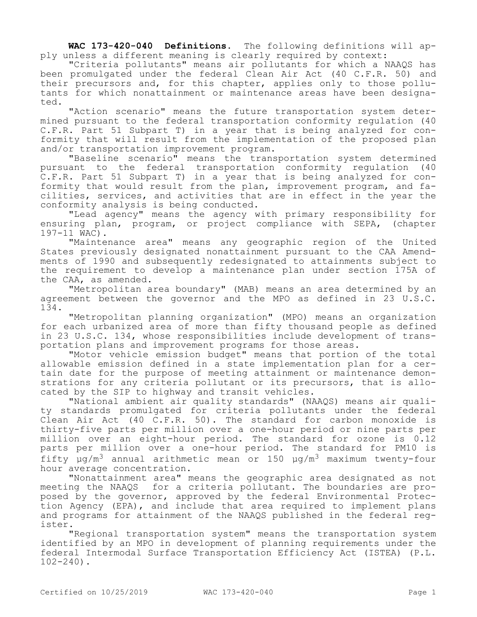**WAC 173-420-040 Definitions.** The following definitions will apply unless a different meaning is clearly required by context:

"Criteria pollutants" means air pollutants for which a NAAQS has been promulgated under the federal Clean Air Act (40 C.F.R. 50) and their precursors and, for this chapter, applies only to those pollutants for which nonattainment or maintenance areas have been designated.

"Action scenario" means the future transportation system determined pursuant to the federal transportation conformity regulation (40 C.F.R. Part 51 Subpart T) in a year that is being analyzed for conformity that will result from the implementation of the proposed plan and/or transportation improvement program.

"Baseline scenario" means the transportation system determined pursuant to the federal transportation conformity regulation (40 C.F.R. Part 51 Subpart T) in a year that is being analyzed for conformity that would result from the plan, improvement program, and facilities, services, and activities that are in effect in the year the conformity analysis is being conducted.

"Lead agency" means the agency with primary responsibility for ensuring plan, program, or project compliance with SEPA, (chapter 197-11 WAC).

"Maintenance area" means any geographic region of the United States previously designated nonattainment pursuant to the CAA Amendments of 1990 and subsequently redesignated to attainments subject to the requirement to develop a maintenance plan under section 175A of the CAA, as amended.

"Metropolitan area boundary" (MAB) means an area determined by an agreement between the governor and the MPO as defined in 23 U.S.C. 134.

"Metropolitan planning organization" (MPO) means an organization for each urbanized area of more than fifty thousand people as defined in 23 U.S.C. 134, whose responsibilities include development of transportation plans and improvement programs for those areas.

"Motor vehicle emission budget" means that portion of the total allowable emission defined in a state implementation plan for a certain date for the purpose of meeting attainment or maintenance demonstrations for any criteria pollutant or its precursors, that is allocated by the SIP to highway and transit vehicles.

"National ambient air quality standards" (NAAQS) means air quality standards promulgated for criteria pollutants under the federal Clean Air Act (40 C.F.R. 50). The standard for carbon monoxide is thirty-five parts per million over a one-hour period or nine parts per million over an eight-hour period. The standard for ozone is 0.12 parts per million over a one-hour period. The standard for PM10 is fifty  $\mu q/m^3$  annual arithmetic mean or 150  $\mu q/m^3$  maximum twenty-four hour average concentration.

"Nonattainment area" means the geographic area designated as not meeting the NAAQS for a criteria pollutant. The boundaries are proposed by the governor, approved by the federal Environmental Protection Agency (EPA), and include that area required to implement plans and programs for attainment of the NAAQS published in the federal register.

"Regional transportation system" means the transportation system identified by an MPO in development of planning requirements under the federal Intermodal Surface Transportation Efficiency Act (ISTEA) (P.L. 102-240).